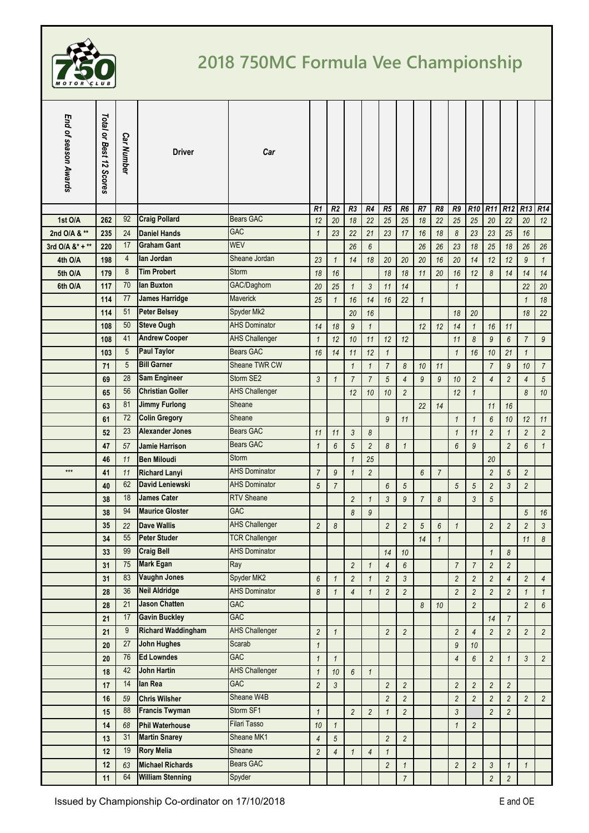

## **2018 750MC Formula Vee Championship**

| End of season Awards | Total or Best 12 Scores | <b>Car Number</b> | <b>Driver</b>                             | Car                      |                |                |                  |                |                |                 |                |                |                |                 |                 |                         |                 |                  |
|----------------------|-------------------------|-------------------|-------------------------------------------|--------------------------|----------------|----------------|------------------|----------------|----------------|-----------------|----------------|----------------|----------------|-----------------|-----------------|-------------------------|-----------------|------------------|
|                      |                         |                   |                                           |                          | R <sub>1</sub> | R <sub>2</sub> | R <sub>3</sub>   | R4             | R <sub>5</sub> | R6              | R7             | R <sub>8</sub> | R9             | R <sub>10</sub> | R <sub>11</sub> | R <sub>12</sub>         | R <sub>13</sub> | R14              |
| 1st O/A              | 262                     | 92                | <b>Craig Pollard</b>                      | <b>Bears GAC</b>         | 12             | 20             | 18               | 22             | 25             | 25              | 18             | 22             | 25             | 25              | 20              | 22                      | 20              | 12               |
| 2nd O/A & **         | 235                     | 24                | <b>Daniel Hands</b><br><b>Graham Gant</b> | <b>GAC</b><br><b>WEV</b> | $\mathbf{1}$   | 23             | 22               | 21             | 23             | 17              | 16             | 18             | 8              | 23              | 23              | 25                      | 16              |                  |
| 3rd O/A $8$ * + **   | 220                     | 17                | lan Jordan                                |                          |                |                | 26               | 6              |                |                 | 26             | 26             | 23             | 18              | 25              | 18                      | 26              | 26               |
| 4th O/A              | 198                     | $\overline{4}$    |                                           | Sheane Jordan            | 23             | $\mathbf{1}$   | 14               | 18             | 20             | 20              | 20             | 16             | 20             | 14              | 12              | 12                      | 9               | $\mathbf{1}$     |
| 5th O/A              | 179                     | 8                 | <b>Tim Probert</b>                        | Storm                    | 18             | 16             |                  |                | 18             | 18              | 11             | 20             | 16             | 12              | 8               | 14                      | 14              | 14               |
| 6th O/A              | 117                     | 70                | lan Buxton                                | GAC/Daghorn              | 20             | 25             | $\mathbf{1}$     | $\mathfrak{Z}$ | 11             | 14              |                |                | $\mathbf{1}$   |                 |                 |                         | 22              | 20               |
|                      | 114                     | 77                | <b>James Harridge</b>                     | Maverick                 | 25             | $\mathbf{1}$   | 16               | 14             | 16             | 22              | $\mathbf{1}$   |                |                |                 |                 |                         | $\mathbf{1}$    | 18               |
|                      | 114                     | 51                | <b>Peter Belsey</b>                       | Spyder Mk2               |                |                | 20               | 16             |                |                 |                |                | 18             | 20              |                 |                         | 18              | 22               |
|                      | 108                     | 50                | <b>Steve Ough</b>                         | <b>AHS Dominator</b>     | 14             | 18             | $\boldsymbol{9}$ | $\mathbf{1}$   |                |                 | 12             | 12             | 14             | $\mathbf{1}$    | 16              | 11                      |                 |                  |
|                      | 108                     | 41                | <b>Andrew Cooper</b>                      | <b>AHS Challenger</b>    | $\mathbf{1}$   | 12             | 10               | 11             | 12             | 12              |                |                | 11             | 8               | $\mathfrak{g}$  | 6                       | $\overline{7}$  | $\mathfrak g$    |
|                      | 103                     | 5                 | <b>Paul Taylor</b>                        | <b>Bears GAC</b>         | 16             | 14             | 11               | 12             | $\mathbf{1}$   |                 |                |                | $\mathbf{1}$   | 16              | 10              | 21                      | $\mathbf{1}$    |                  |
|                      | 71                      | 5                 | <b>Bill Garner</b>                        | Sheane TWR CW            |                |                | $\mathbf{1}$     | $\mathbf{1}$   | $\overline{7}$ | 8               | 10             | 11             |                |                 | $\overline{7}$  | $\overline{9}$          | 10              | $\overline{7}$   |
|                      | 69                      | 28                | <b>Sam Engineer</b>                       | Storm SE2                | $\mathfrak{Z}$ | $\mathcal I$   | $\overline{7}$   | $\overline{7}$ | 5              | $\overline{4}$  | 9              | $\mathfrak g$  | 10             | $\overline{2}$  | $\overline{4}$  | $\overline{c}$          | 4               | $\sqrt{5}$       |
|                      | 65                      | 56                | <b>Christian Goller</b>                   | <b>AHS Challenger</b>    |                |                | 12               | 10             | 10             | $\overline{c}$  |                |                | 12             | $\mathbf{1}$    |                 |                         | 8               | 10               |
|                      | 63                      | 81                | <b>Jimmy Furlong</b>                      | Sheane                   |                |                |                  |                |                |                 | 22             | 14             |                |                 | 11              | 16                      |                 |                  |
|                      | 61                      | 72                | <b>Colin Gregory</b>                      | Sheane                   |                |                |                  |                | 9              | 11              |                |                | $\mathbf{1}$   | $\mathbf{1}$    | 6               | 10                      | 12              | 11               |
|                      | 52                      | 23                | <b>Alexander Jones</b>                    | <b>Bears GAC</b>         | 11             | 11             | $\mathfrak{Z}$   | 8              |                |                 |                |                | $\mathbf{1}$   | 11              | $\overline{c}$  | $\mathbf{1}$            | $\overline{c}$  | $\overline{c}$   |
|                      | 47                      | 57                | <b>Jamie Harrison</b>                     | <b>Bears GAC</b>         | $\mathbf{1}$   | 6              | 5                | $\overline{c}$ | 8              | $\mathbf{1}$    |                |                | 6              | $\overline{9}$  |                 | $\overline{2}$          | 6               | $\mathbf{1}$     |
|                      | 46                      | 11                | <b>Ben Miloudi</b>                        | Storm                    |                |                | $\mathbf{1}$     | 25             |                |                 |                |                |                |                 | 20              |                         |                 |                  |
| $***$                | 41                      | 11                | <b>Richard Lanyi</b>                      | <b>AHS Dominator</b>     | $\overline{7}$ | 9              | $\mathbf{1}$     | $\overline{c}$ |                |                 | 6              | $\overline{7}$ |                |                 | $\sqrt{2}$      | 5                       | $\overline{c}$  |                  |
|                      | 40                      | 62                | David Leniewski                           | <b>AHS Dominator</b>     | $\sqrt{5}$     | $\overline{7}$ |                  |                | 6              | $5\overline{)}$ |                |                | 5              | $\sqrt{5}$      | $\overline{c}$  | 3                       | $\overline{c}$  |                  |
|                      | 38                      | 18                | <b>James Cater</b>                        | <b>RTV Sheane</b>        |                |                | $\overline{c}$   | $\mathbf{1}$   | 3              | 9               | $\overline{7}$ | 8              |                | 3               | 5               |                         |                 |                  |
|                      | 38                      | 94                | <b>Maurice Gloster</b>                    | <b>GAC</b>               |                |                | 8                | 9              |                |                 |                |                |                |                 |                 |                         | 5               | 16               |
|                      | 35                      | 22                | <b>Dave Wallis</b>                        | <b>AHS Challenger</b>    | $\overline{c}$ | 8              |                  |                | $\overline{c}$ | $\overline{c}$  | $\sqrt{5}$     | 6              | $\mathbf{1}$   |                 | $\overline{2}$  | $\overline{c}$          | $\overline{c}$  | $\mathfrak{Z}$   |
|                      | 34                      |                   | 55 Peter Studer                           | <b>TCR Challenger</b>    |                |                |                  |                |                |                 | $14$           | $\mathbf{1}$   |                |                 |                 |                         | 11              | $\boldsymbol{8}$ |
|                      | 33                      | 99                | <b>Craig Bell</b>                         | <b>AHS Dominator</b>     |                |                |                  |                | 14             | 10              |                |                |                |                 | $\mathbf{1}$    | 8                       |                 |                  |
|                      | 31                      | 75                | <b>Mark Egan</b>                          | Ray                      |                |                | $\overline{2}$   | $\mathbf{1}$   | $\sqrt{4}$     | $6\phantom{.0}$ |                |                | $\overline{7}$ | $\overline{7}$  | $\sqrt{2}$      | $\overline{c}$          |                 |                  |
|                      | 31                      | 83                | <b>Vaughn Jones</b>                       | Spyder MK2               | 6              | $\mathbf{1}$   | $\sqrt{2}$       | $\mathbf{1}$   | $\sqrt{2}$     | $\mathfrak{Z}$  |                |                | $\overline{c}$ | $\sqrt{2}$      | $\overline{c}$  | $\overline{4}$          | $\overline{c}$  | 4                |
|                      | 28                      | 36                | <b>Neil Aldridge</b>                      | <b>AHS Dominator</b>     | 8              | $\mathbf{1}$   | $\overline{4}$   | $\mathbf{1}$   | $\sqrt{2}$     | $\overline{c}$  |                |                | $\overline{2}$ | $\overline{c}$  | $\overline{c}$  | $\overline{\mathbf{c}}$ | $\mathbf{1}$    | $\mathbf{1}$     |
|                      | 28                      | 21                | <b>Jason Chatten</b>                      | <b>GAC</b>               |                |                |                  |                |                |                 | 8              | 10             |                | $\overline{c}$  |                 |                         | $\overline{c}$  | $6\phantom{.0}$  |
|                      | 21                      | 17                | <b>Gavin Buckley</b>                      | GAC                      |                |                |                  |                |                |                 |                |                |                |                 | 14              | $\overline{7}$          |                 |                  |
|                      | 21                      | 9                 | <b>Richard Waddingham</b>                 | <b>AHS Challenger</b>    | $\overline{2}$ | $\mathbf{1}$   |                  |                | $\overline{c}$ | $\overline{c}$  |                |                | $\overline{2}$ | $\overline{4}$  | $\overline{c}$  | $\overline{c}$          | $\overline{c}$  | $\overline{a}$   |
|                      | 20                      | 27                | <b>John Hughes</b>                        | Scarab                   | $\mathbf{1}$   |                |                  |                |                |                 |                |                | $\mathfrak{g}$ | 10              |                 |                         |                 |                  |
|                      | 20                      | 76                | <b>Ed Lowndes</b>                         | GAC                      | $\mathbf{1}$   | $\mathbf{1}$   |                  |                |                |                 |                |                | 4              | $6\phantom{.}6$ | $\overline{c}$  | $\mathbf{1}$            | 3               | $\overline{a}$   |
|                      | 18                      | 42                | <b>John Hartin</b>                        | <b>AHS Challenger</b>    | $\mathbf{1}$   | $10$           | $6\overline{6}$  | $\mathbf{1}$   |                |                 |                |                |                |                 |                 |                         |                 |                  |
|                      | 17                      | 14                | lan Rea                                   | GAC                      | $\overline{c}$ | $\mathfrak{Z}$ |                  |                | $\overline{c}$ | $\overline{c}$  |                |                | $\overline{c}$ | $\overline{2}$  | $\overline{2}$  | $\overline{c}$          |                 |                  |
|                      | 16                      | 59                | <b>Chris Wilsher</b>                      | Sheane W4B               |                |                |                  |                | $\overline{c}$ | $\overline{a}$  |                |                | $\overline{2}$ | $\overline{2}$  | $\overline{c}$  | $\overline{c}$          | $\overline{c}$  | $\overline{c}$   |
|                      | 15                      | 88                | <b>Francis Twyman</b>                     | Storm SF1                | $\mathbf{1}$   |                | $\overline{c}$   | $\overline{c}$ | $\mathbf{1}$   | $\overline{c}$  |                |                | $\mathfrak{Z}$ |                 | $\overline{c}$  | $\overline{\mathbf{c}}$ |                 |                  |
|                      | 14                      | 68                | <b>Phil Waterhouse</b>                    | Filari Tasso             | 10             | $\mathbf{1}$   |                  |                |                |                 |                |                | $\mathbf{1}$   | $\overline{2}$  |                 |                         |                 |                  |
|                      | 13                      | 31                | <b>Martin Snarey</b>                      | Sheane MK1               | 4              | $\sqrt{5}$     |                  |                | $\overline{2}$ | $\overline{c}$  |                |                |                |                 |                 |                         |                 |                  |
|                      | 12                      | 19                | <b>Rory Melia</b>                         | Sheane                   | $\overline{c}$ | $\overline{4}$ | $\mathbf{1}$     | $\overline{4}$ | $\mathbf{1}$   |                 |                |                |                |                 |                 |                         |                 |                  |
|                      | 12                      | 63                | <b>Michael Richards</b>                   | Bears GAC                |                |                |                  |                | $\overline{c}$ | 1               |                |                | $\overline{c}$ | $\overline{c}$  | 3               | 1                       | $\mathbf{1}$    |                  |
|                      | 11                      | 64                | <b>William Stenning</b>                   | Spyder                   |                |                |                  |                |                | $\overline{7}$  |                |                |                |                 | $\overline{2}$  | $\overline{c}$          |                 |                  |
|                      |                         |                   |                                           |                          |                |                |                  |                |                |                 |                |                |                |                 |                 |                         |                 |                  |